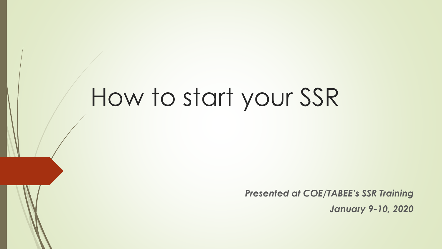# How to start your SSR

*Presented at COE/TABEE's SSR Training January 9-10, 2020*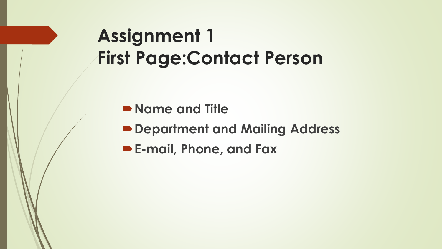## **Assignment 1 First Page:Contact Person**

**Name and Title** 

**Department and Mailing Address**

**E-mail, Phone, and Fax**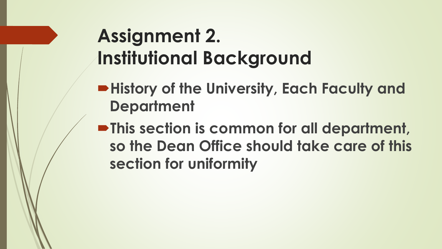## **Assignment 2. Institutional Background**

- **History of the University, Each Faculty and Department**
- **This section is common for all department, so the Dean Office should take care of this section for uniformity**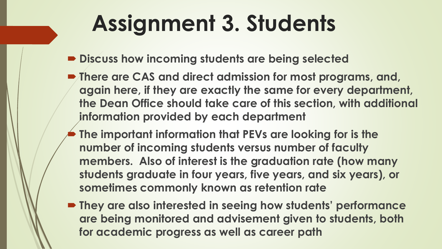# **Assignment 3. Students**

- **P** Discuss how incoming students are being selected
- **There are CAS and direct admission for most programs, and, again here, if they are exactly the same for every department, the Dean Office should take care of this section, with additional information provided by each department**
- **The important information that PEVs are looking for is the number of incoming students versus number of faculty members. Also of interest is the graduation rate (how many students graduate in four years, five years, and six years), or sometimes commonly known as retention rate**
- **They are also interested in seeing how students' performance are being monitored and advisement given to students, both for academic progress as well as career path**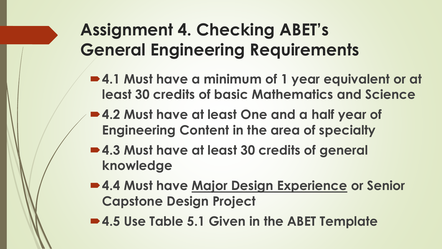#### **Assignment 4. Checking ABET's General Engineering Requirements**

- **4.1 Must have a minimum of 1 year equivalent or at least 30 credits of basic Mathematics and Science**
- **4.2 Must have at least One and a half year of Engineering Content in the area of specialty**
- 4.3 Must have at least 30 credits of general **knowledge**
- **4.4 Must have Major Design Experience or Senior Capstone Design Project**
- **4.5 Use Table 5.1 Given in the ABET Template**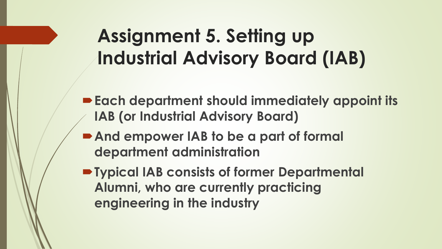## **Assignment 5. Setting up Industrial Advisory Board (IAB)**

- **Each department should immediately appoint its IAB (or Industrial Advisory Board)**
- **And empower IAB to be a part of formal department administration**
- **Typical IAB consists of former Departmental Alumni, who are currently practicing engineering in the industry**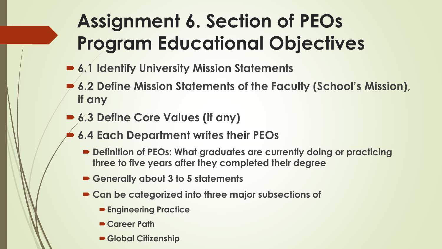## **Assignment 6. Section of PEOs Program Educational Objectives**

- 6.1 Identify University Mission Statements
- **6.2 Define Mission Statements of the Faculty (School's Mission), if any**
- 6.3 Define Core Values (if any)
- **6.4 Each Department writes their PEOs**
	- **Definition of PEOs: What graduates are currently doing or practicing three to five years after they completed their degree**
	- **Generally about 3 to 5 statements**
	- **Can be categorized into three major subsections of**
		- **Engineering Practice**
		- **Career Path**
		- **Global Citizenship**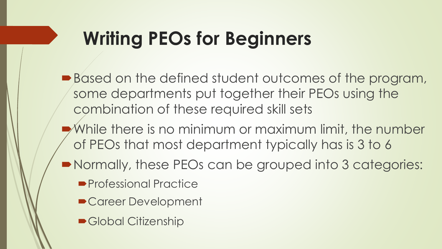#### **Writing PEOs for Beginners**

- Based on the defined student outcomes of the program, some departments put together their PEOs using the combination of these required skill sets
- While there is no minimum or maximum limit, the number of PEOs that most department typically has is 3 to 6
- Normally, these PEOs can be grouped into 3 categories:
	- **Professional Practice**
	- Career Development
	- Global Citizenship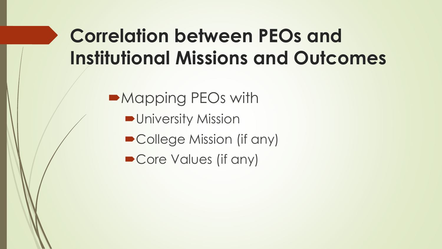## **Correlation between PEOs and Institutional Missions and Outcomes**

Mapping PEOs with

**D**University Mission

■ College Mission (if any)

■ Core Values (if any)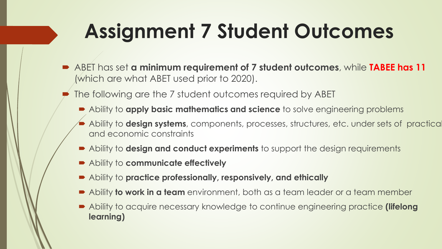# **Assignment 7 Student Outcomes**

- ABET has set **a minimum requirement of 7 student outcomes**, while **TABEE has 11**  (which are what ABET used prior to 2020).
	- The following are the 7 student outcomes required by ABET
		- Ability to **apply basic mathematics and science** to solve engineering problems
		- **Ability to design systems**, components, processes, structures, etc. under sets of practically and economic constraints
		- Ability to **design and conduct experiments** to support the design requirements
		- Ability to **communicate effectively**
		- Ability to **practice professionally, responsively, and ethically**
		- Ability **to work in a team** environment, both as a team leader or a team member
		- Ability to acquire necessary knowledge to continue engineering practice **(lifelong learning)**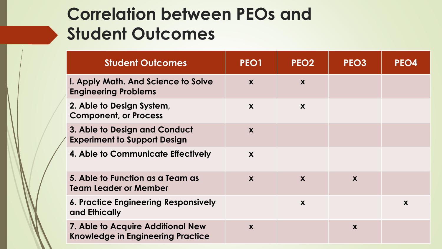#### **Correlation between PEOs and Student Outcomes**

| <b>Student Outcomes</b>                                                       | PEO1 | PEO <sub>2</sub> | PEO <sub>3</sub> | PEO4 |
|-------------------------------------------------------------------------------|------|------------------|------------------|------|
| <b>I. Apply Math. And Science to Solve</b><br><b>Engineering Problems</b>     | X    | X                |                  |      |
| 2. Able to Design System,<br><b>Component, or Process</b>                     | X    | X                |                  |      |
| 3. Able to Design and Conduct<br><b>Experiment to Support Design</b>          | X    |                  |                  |      |
| 4. Able to Communicate Effectively                                            | X    |                  |                  |      |
| 5. Able to Function as a Team as<br>Team Leader or Member                     | X    | X                | X                |      |
| <b>6. Practice Engineering Responsively</b><br>and Ethically                  |      | X                |                  | X    |
| 7. Able to Acquire Additional New<br><b>Knowledge in Engineering Practice</b> | X    |                  | X                |      |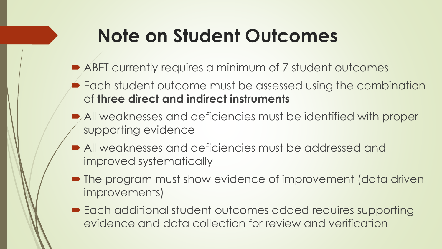#### **Note on Student Outcomes**

- ABET currently requires a minimum of 7 student outcomes
- **Each student outcome must be assessed using the combination** of **three direct and indirect instruments**
- All weaknesses and deficiencies must be identified with proper supporting evidence
- All weaknesses and deficiencies must be addressed and improved systematically
- The program must show evidence of improvement (data driven improvements)
- Each additional student outcomes added requires supporting evidence and data collection for review and verification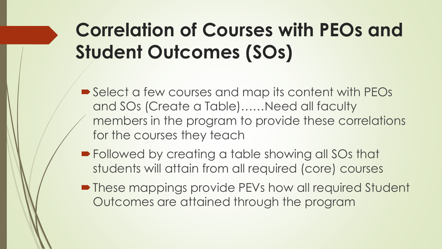## **Correlation of Courses with PEOs and Student Outcomes (SOs)**

- Select a few courses and map its content with PEOs and SOs (Create a Table)……Need all faculty members in the program to provide these correlations for the courses they teach
- **Followed by creating a table showing all SOs that** students will attain from all required (core) courses
- **These mappings provide PEVs how all required Student** Outcomes are attained through the program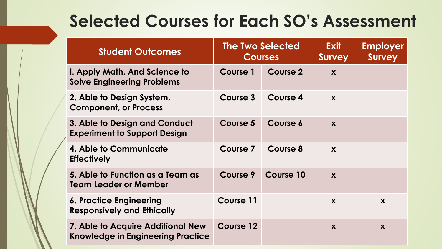#### **Selected Courses for Each SO's Assessment**

|  | <b>Student Outcomes</b>                                                       | <b>The Two Selected</b> | <b>Courses</b> | <b>Exit</b><br><b>Survey</b> | <b>Employer</b><br><b>Survey</b> |
|--|-------------------------------------------------------------------------------|-------------------------|----------------|------------------------------|----------------------------------|
|  | !. Apply Math. And Science to<br><b>Solve Engineering Problems</b>            | Course 1                | Course 2       | X                            |                                  |
|  | 2. Able to Design System,<br><b>Component, or Process</b>                     | Course 3                | Course 4       | X                            |                                  |
|  | 3. Able to Design and Conduct<br><b>Experiment to Support Design</b>          | <b>Course 5</b>         | Course 6       | X                            |                                  |
|  | 4. Able to Communicate<br><b>Effectively</b>                                  | Course 7                | Course 8       | X                            |                                  |
|  | 5. Able to Function as a Team as<br>Team Leader or Member                     | Course 9                | Course 10      | X                            |                                  |
|  | 6. Practice Engineering<br><b>Responsively and Ethically</b>                  | <b>Course 11</b>        |                | X                            | X                                |
|  | 7. Able to Acquire Additional New<br><b>Knowledge in Engineering Practice</b> | Course 12               |                | X                            | X                                |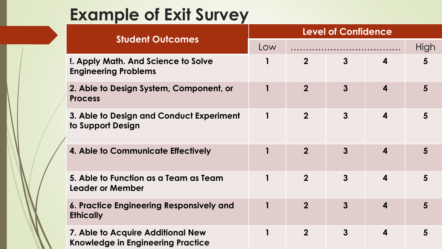#### **Example of Exit Survey**

|  | <b>Student Outcomes</b>                                                       | <b>Level of Confidence</b> |                |                |                         |      |  |
|--|-------------------------------------------------------------------------------|----------------------------|----------------|----------------|-------------------------|------|--|
|  |                                                                               | Low                        |                |                |                         | High |  |
|  | <b>I. Apply Math. And Science to Solve</b><br><b>Engineering Problems</b>     |                            | $\overline{2}$ | $\overline{3}$ | 4                       | 5    |  |
|  | 2. Able to Design System, Component, or<br><b>Process</b>                     |                            | $\overline{2}$ | $\overline{3}$ | $\overline{\mathbf{4}}$ | 5    |  |
|  | 3. Able to Design and Conduct Experiment<br>to Support Design                 |                            | $\overline{2}$ | $\overline{3}$ | $\overline{\mathbf{4}}$ | 5    |  |
|  | 4. Able to Communicate Effectively                                            |                            | $\overline{2}$ | $\mathbf{3}$   | $\boldsymbol{4}$        | 5    |  |
|  | 5. Able to Function as a Team as Team<br><b>Leader or Member</b>              | $\mathbf 1$                | $\overline{2}$ | $\mathbf{3}$   | $\overline{\mathbf{4}}$ | 5    |  |
|  | 6. Practice Engineering Responsively and<br><b>Ethically</b>                  |                            | $\overline{2}$ | $\overline{3}$ | $\boldsymbol{4}$        | 5    |  |
|  | 7. Able to Acquire Additional New<br><b>Knowledge in Engineering Practice</b> | 1                          | $\overline{2}$ | $\mathbf{3}$   | 4                       | 5    |  |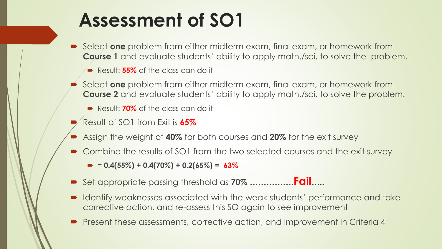#### **Assessment of SO1**

- Select **one** problem from either midterm exam, final exam, or homework from **Course 1** and evaluate students' ability to apply math./sci. to solve the problem.
	- Result: **55%** of the class can do it
- Select **one** problem from either midterm exam, final exam, or homework from **Course 2** and evaluate students' ability to apply math./sci. to solve the problem.
	- Result: **70%** of the class can do it
- Result of SO1 from Exit is **65%**
- Assign the weight of **40%** for both courses and **20%** for the exit survey
- Combine the results of SO1 from the two selected courses and the exit survey
	- $\bullet$  = 0.4(55%) + 0.4(70%) + 0.2(65%) = 63%
- Set appropriate passing threshold as **70% …………….Fail…..**
- Identify weaknesses associated with the weak students' performance and take corrective action, and re-assess this SO again to see improvement
- Present these assessments, corrective action, and improvement in Criteria 4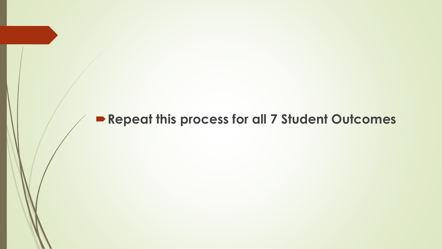#### **Repeat this process for all 7 Student Outcomes**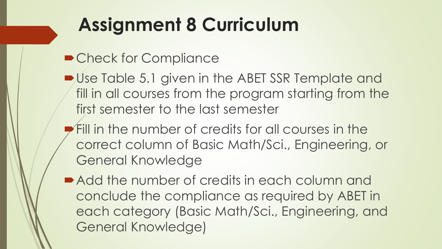## **Assignment 8 Curriculum**

- Check for Compliance
- Use Table 5.1 given in the ABET SSR Template and fill in all courses from the program starting from the first semester to the last semester
- Fill in the number of credits for all courses in the correct column of Basic Math/Sci., Engineering, or General Knowledge
- Add the number of credits in each column and conclude the compliance as required by ABET in each category (Basic Math/Sci., Engineering, and General Knowledge)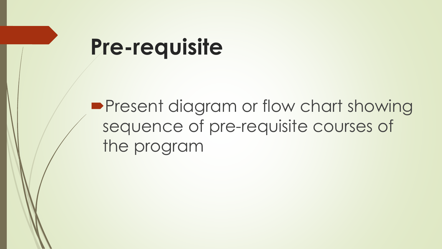## **Pre-requisite**

**Present diagram or flow chart showing** sequence of pre-requisite courses of the program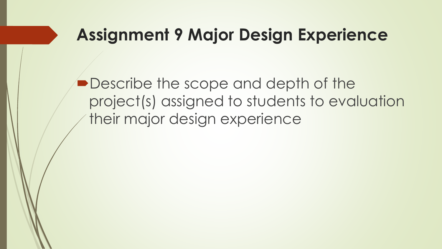#### **Assignment 9 Major Design Experience**

**• Describe the scope and depth of the** project(s) assigned to students to evaluation their major design experience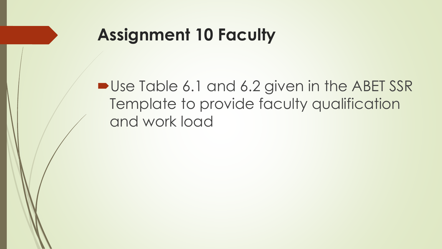#### **Assignment 10 Faculty**

■ Use Table 6.1 and 6.2 given in the ABET SSR Template to provide faculty qualification and work load